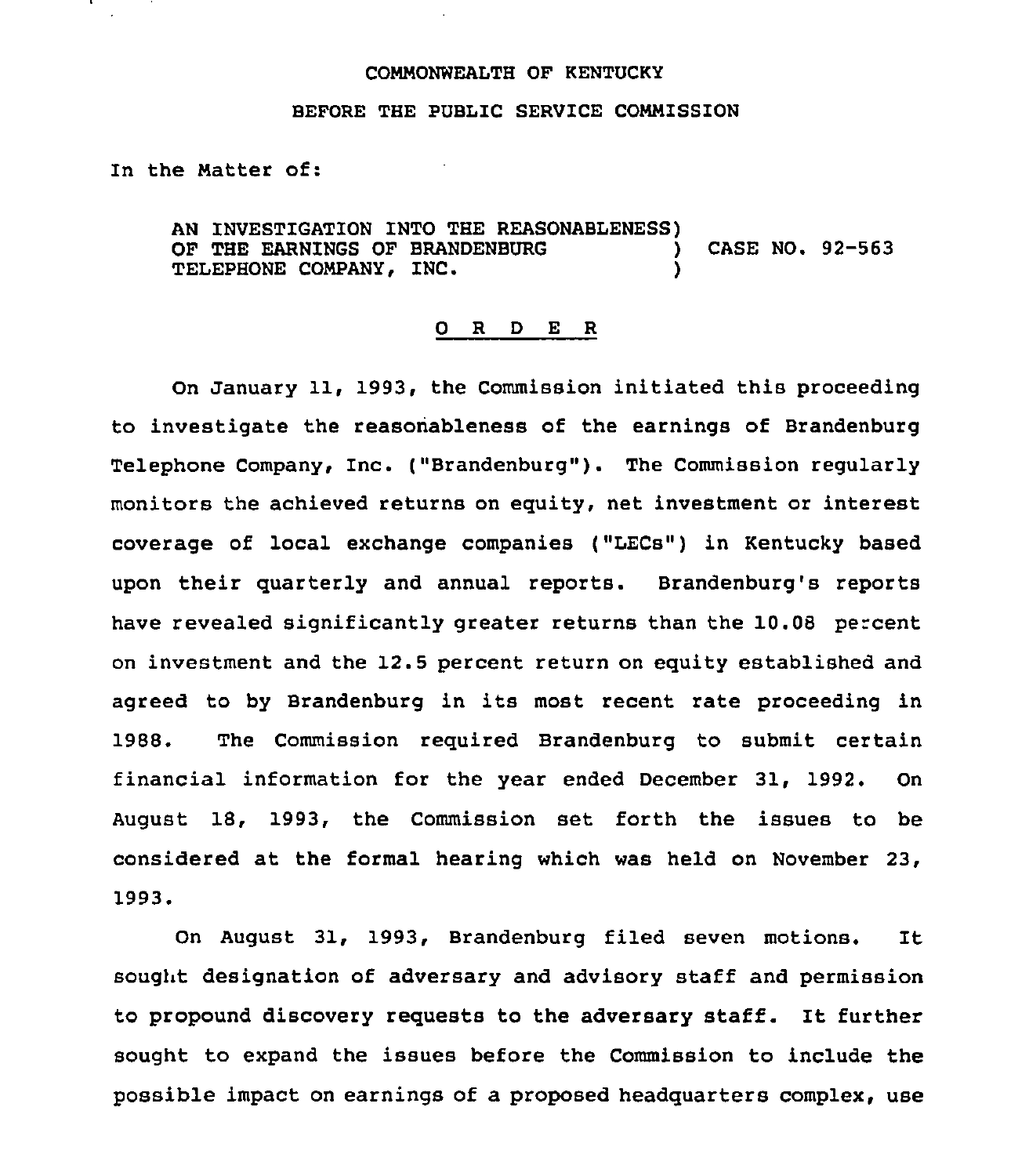#### COMMONWEALTH OF KENTUCKY

#### BEFORE THE PUBLIC SERVICE COMMISSION

In the Natter of:

AN INVESTIGATION INTO THE REASONABLENESS) OF THE EARNINGS OF BRANDENBURG  $\overrightarrow{)}$  CASE NO. 92-563<br>TELEPHONE COMPANY, INC. TELEPHONE COMPANY, INC.

#### 0 R <sup>D</sup> E <sup>R</sup>

On January 11, 1993, the Commission initiated this proceeding to investigate the reasonableness of the earnings of Brandenburg Telephone Company, Inc. ("Brandenburg"). The Commission regularly monitors the achieved returns on equity, net investment or interest coverage of local exchange companies ("LECs") in Kentucky based upon their quarterly and annual reports. Brandenburg's reports have revealed significantly greater returns than the 10.08 percent on investment and the 12.5 percent return on equity established and agreed to by Brandenburg in its most recent rate proceeding in 1988. The Commission required Brandenburg to submit certain financial information for the year ended December 31, 1992. On August 18, 1993, the Commission set forth the issues to be considered at the formal hearing which was held on November 23, 1993.

On August 31, 1993, Brandenburg filed seven motions. It sought designation of adversary and advisory staff and permission to propound discovery requests to the adversary staff. It further sought to expand the issues before the Commission to include the possible impact on earnings of a proposed headquarters complex, use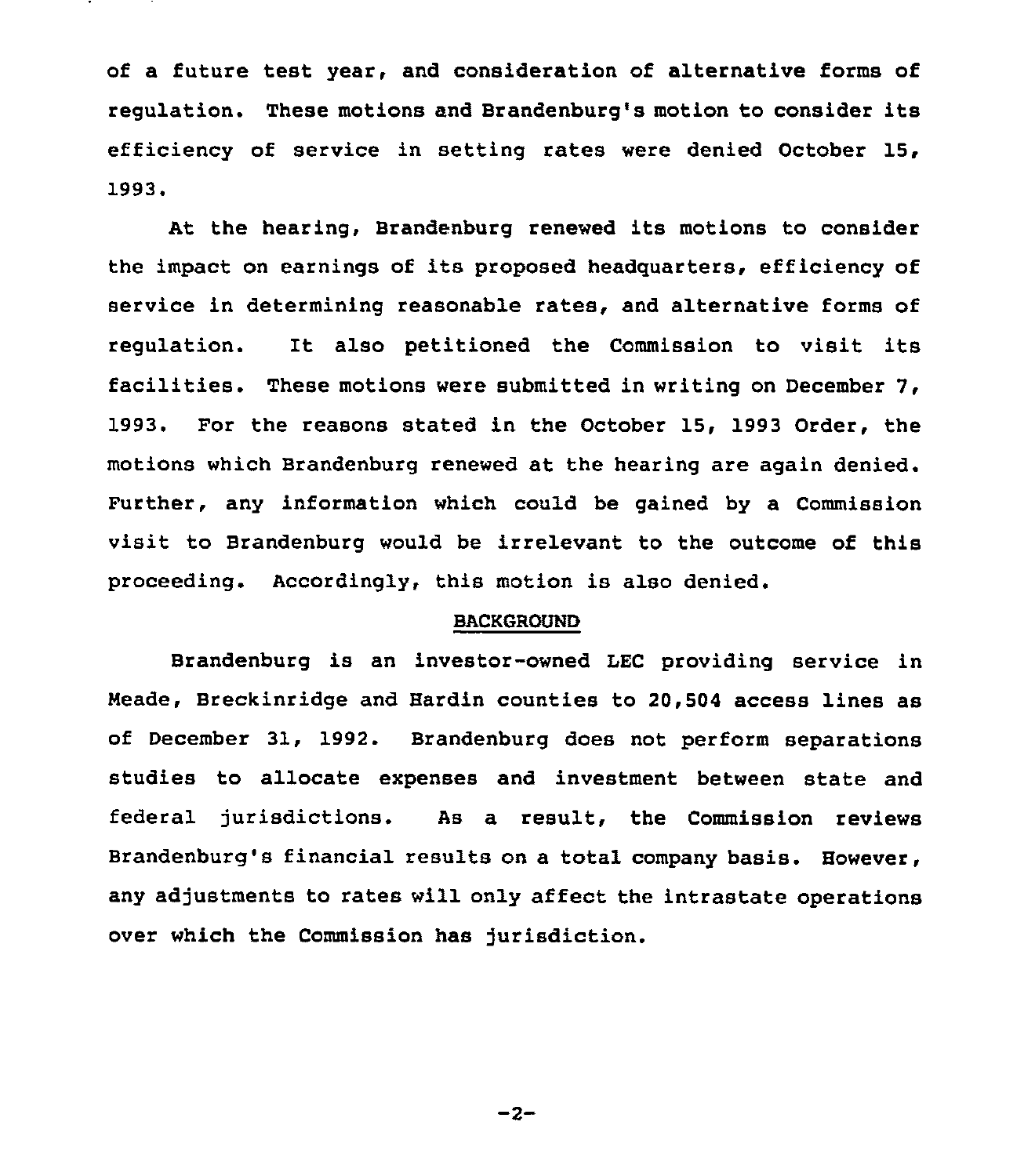of a future test year, and consideration of alternative forms of regulation. These motions and Brandenburg's motion to consider its efficiency of service in setting rates were denied October 15, 1993.

At the hearing, Brandenburg renewed its motions to consider the impact on earnings of its proposed headquarters, efficiency of service in determining reasonable rates, and alternative forms of regulation. It also petitioned the Commission to visit its facilities. These motions were submitted in writing on December 7, 1993. For the reasons stated in the October 15, 1993 Order, the motions which Brandenburg renewed at the hearing are again denied. Further, any information which could be gained by a Commission visit to Brandenburg would be irrelevant to the outcome of this proceeding. Accordingly, this motion is also denied.

## BACKGROVND

Brandenburg is an investor-owned LEC providing service in Meade, Breckinridge and Hardin counties to 20,504 access lines as of December 31, 1992. Brandenburg does not perform separations studies to allocate expenses and investment between state and federal jurisdictions. As a result, the Commission reviews Brandenburg's financial results on a total company basis. However, any adjustments to rates will only affect the intrastate operations over which the Commission has jurisdiction.

 $-2-$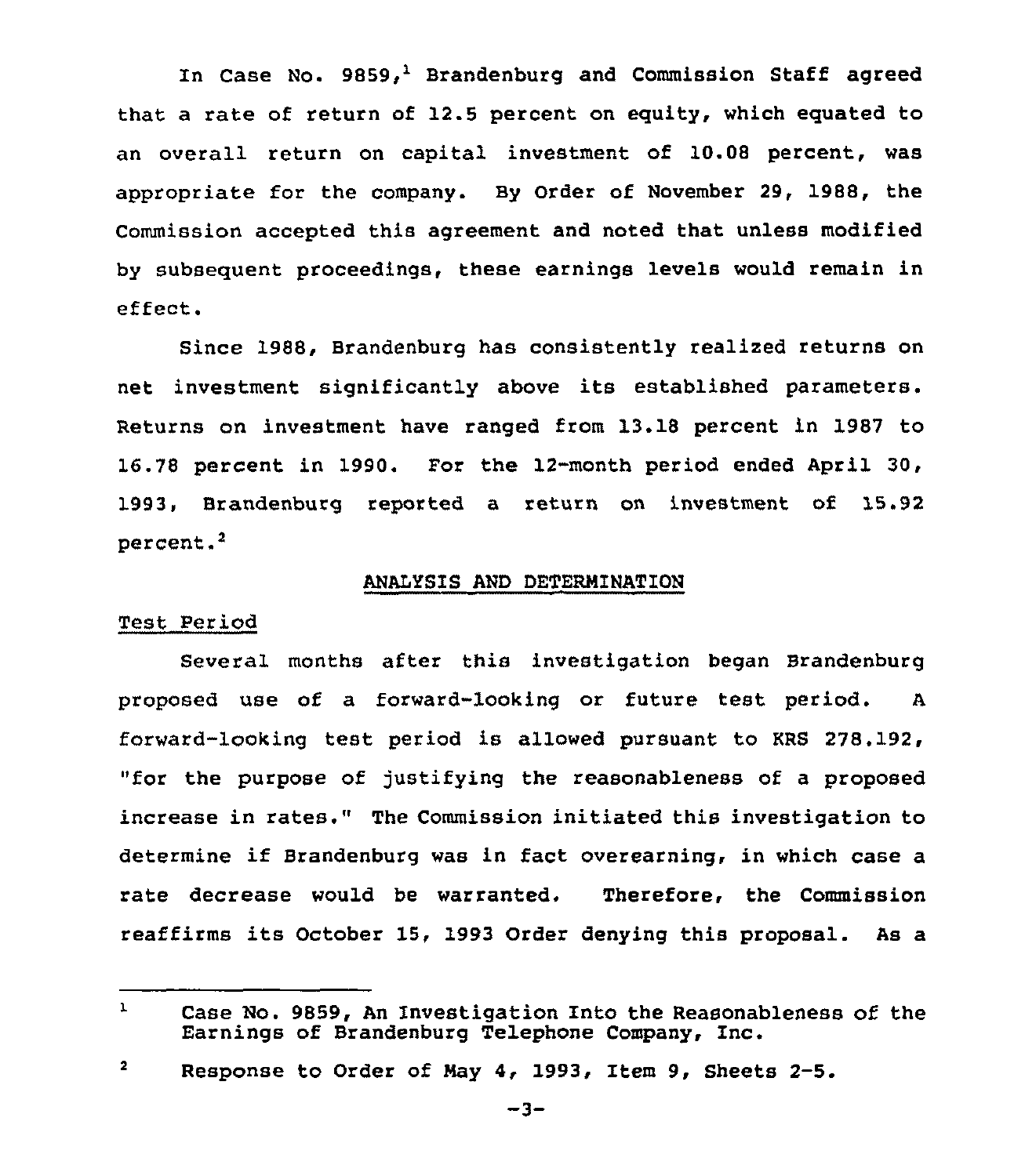In Case No.  $9859<sub>i</sub><sup>1</sup>$  Brandenburg and Commission Staff agreed that a rate of return of 12.5 percent on equity, which equated to an overall return on capital investment of 10.08 percent, was appropriate for the company. By Order of November 29, 1988, the Commission accepted this agreement and noted that unless modified by subsequent proceedings, these earnings levels would remain in effect.

Since 1988, Brandenburg has consistently realized returns on net investment significantly above its established parameters. Returns on investment have ranged from 13.18 percent in 1987 to 16.78 percent in 1990. For the 12-month period ended April 30, 1993, Brandenburg reported a return on investment of 15.92 percent.<sup>2</sup>

## ANALYSIS AND DETERMINATION

## Test Period

Several months after this investigation began Brandenburg proposed use of a forward-looking or future test period. <sup>A</sup> forward-looking test period is allowed pursuant to KRS 278.192, "for the purpose of justifying the reasonableness of a proposed increase in rates." The Commission initiated this investigation to determine if Brandenburg was in fact overearning, in which case <sup>a</sup> rate decrease would be warranted. Therefore, the Commission reaffirms its October 15, 1993 Order denying this proposal. As <sup>a</sup>

 $\mathbf{1}$ Case No. 9859, An Investigation Into the Reasonableness of the Earnings of Brandenburg Telephone Company, Inc.

 $\overline{\mathbf{2}}$ Response to Order of Nay 4, 1993, Item 9, Sheets 2-5.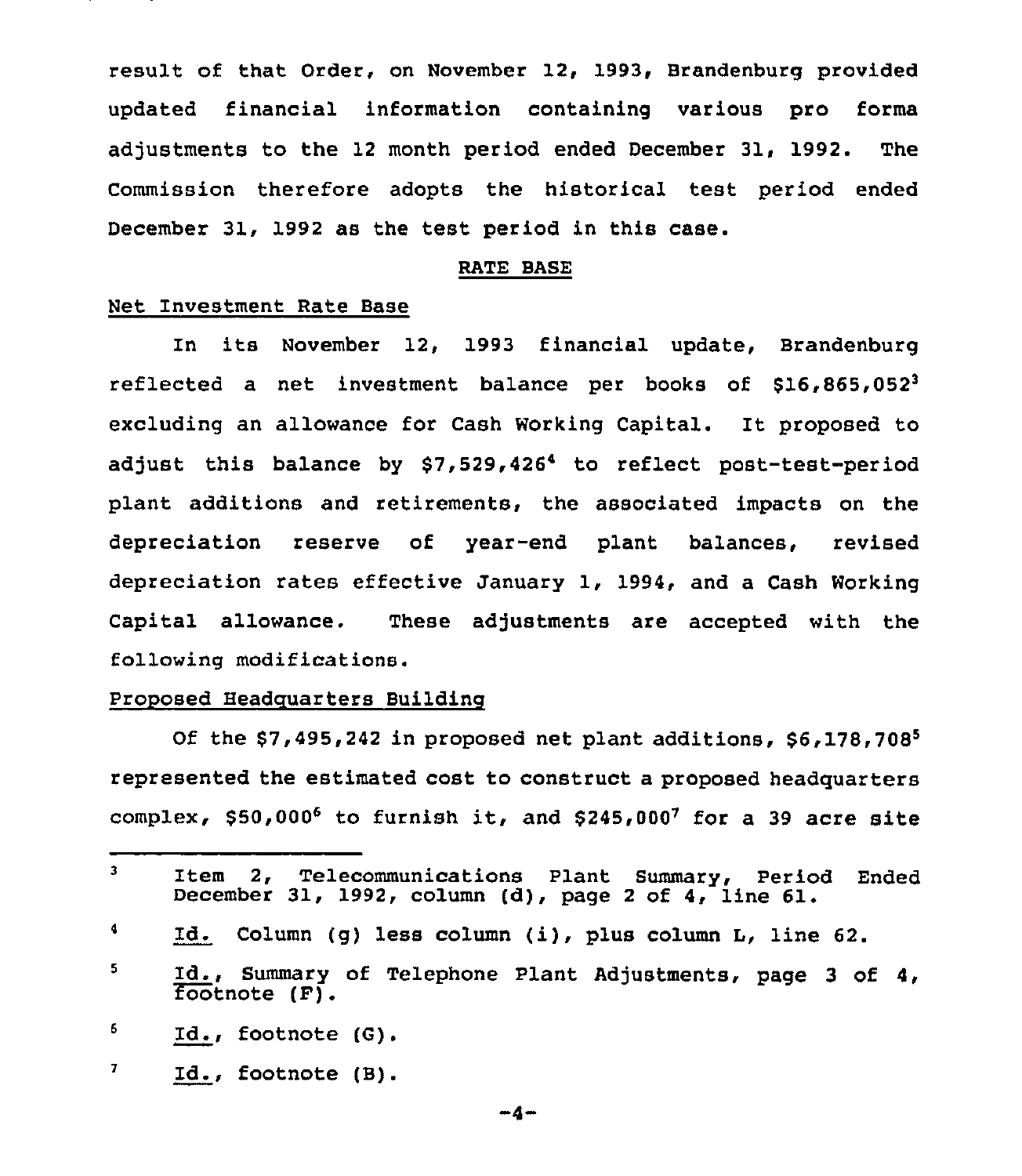result of that Order, on November 12, 1993, Brandenburg provided updated financial information containing various pro forma adjustments to the 12 month period ended December 31, 1992. The Commission therefore adopts the historical test period ended December 31, 1992 as the test period in this case.

## RATE BASE

## Net Investment Rate Base

In its November 12, 1993 financial update, Brandenburg reflected a net investment balance per books of  $$16,865,052^3$ excluding an allowance for Cash Working Capital. It proposed to adjust this balance by \$7,529,426<sup>4</sup> to reflect post-test-period plant additions and retirements, the associated impacts on the depreciation reserve of year-end plant balances, revised depreciation rates effective January 1, 1994, and a Cash Working Capital allowance. These adjustments are accepted with the following modifications.

# Proposed Headquarters Buildinq

Of the  $$7,495,242$  in proposed net plant additions,  $$6,178,708^5$ represented the estimated cost to construct a proposed headquarters complex,  $$50,000^6$  to furnish it, and  $$245,000^7$  for a 39 acre site

 $\overline{\textbf{z}}$ Id., footnote (B)

 $-\Delta$   $-$ 

 $\overline{\mathbf{3}}$ Item 2, Telecommunications Plant Summary, Period Ended December 31, 1992, column (d), page <sup>2</sup> of 4, line 61.

 $\blacktriangleleft$ Id. Column (g} less column (i), plus column L, line 62.

 $5^{\circ}$ Id., Summary of Telephone Plant Adjustments, page <sup>3</sup> of 4, Footnote (F).

<sup>6.</sup> Id., footnote (6)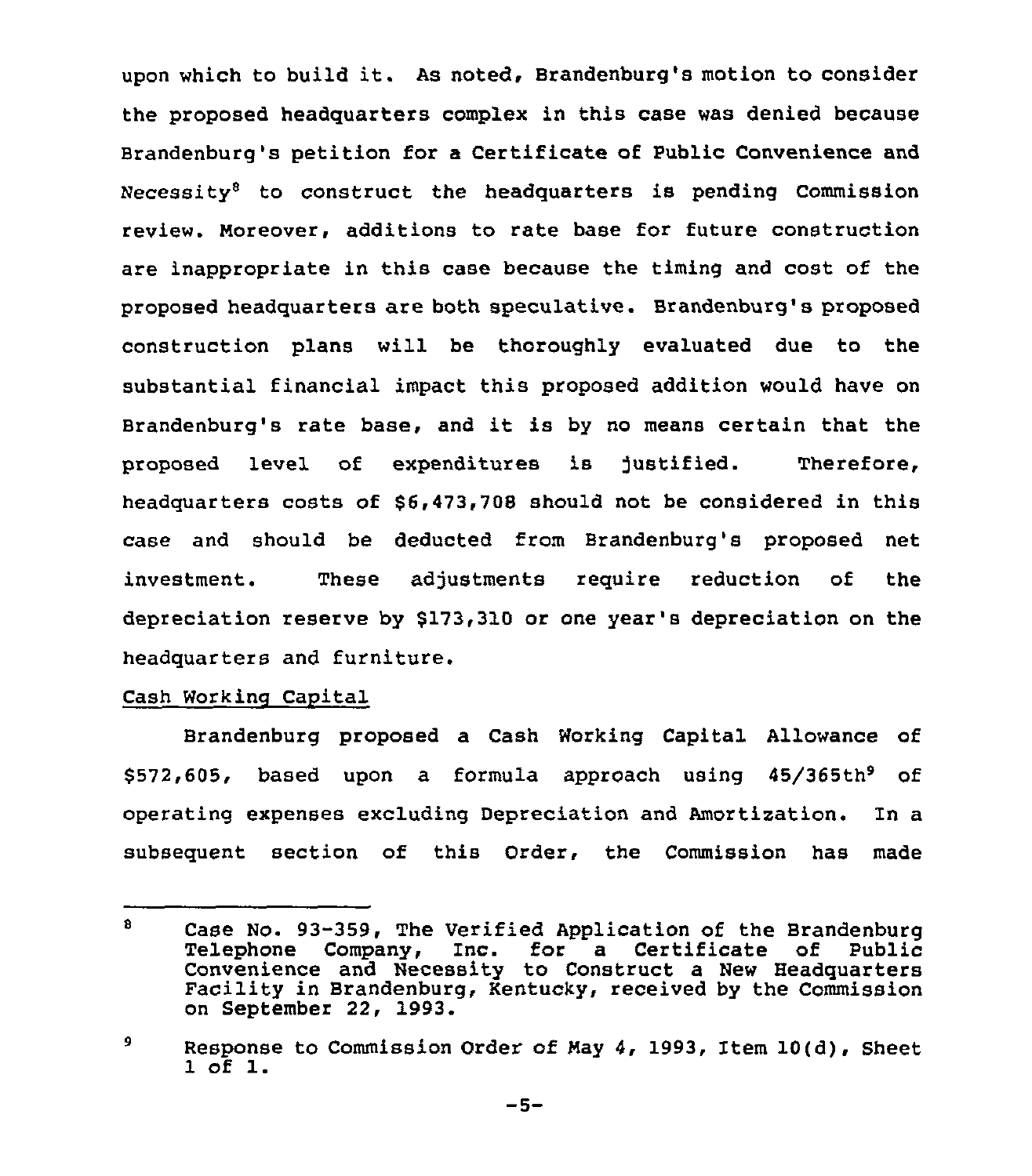upon which to build it. As noted, Brandenburg's motion to consider the proposed headquarters complex in this case was denied because Brandenburg's petition for a Certificate of Public Convenience and Necessity<sup>8</sup> to construct the headquarters is pending Commission review. Moreover, additions to rate base for future construction are inappropriate in this case because the timing and cost of the proposed headquarters are both speculative. Brandenburg's proposed construction plans will be thoroughly evaluated due to the substantial financial impact this proposed addition would have on Brandenburg's rate base, and it is by no means certain that the proposed level of expenditures is justified. Therefore, headquarters costs of \$6,473,708 should not be considered in this case and should be deducted from Brandenburg's proposed net investment. These adjustments require reduction of the depreciation reserve by \$173,310 or one year's depreciation on the headquarters and furniture.

# Cash Working Capital

Brandenburg proposed a Cash Working Capital Allowance of  $$572,605$ , based upon a formula approach using  $45/365th^9$  of operating expenses excluding Depreciation and Amortization. In a subsequent section of this Order, the Commission has made

 $\mathbf{B}$ Case No. 93-359, The Verified Application of the Brandenburg<br>Telephone Company, Inc. for a Certificate of Public for a Certificate of Convenience and Necessity to Construct <sup>a</sup> New Headquarters Facility in Brandenburg, Kentucky, received by the Commission on September 22, 1993.

<sup>9</sup> Response to Commission Order of Nay 4, 1993, Item 10(d), Sheet <sup>1</sup> of l.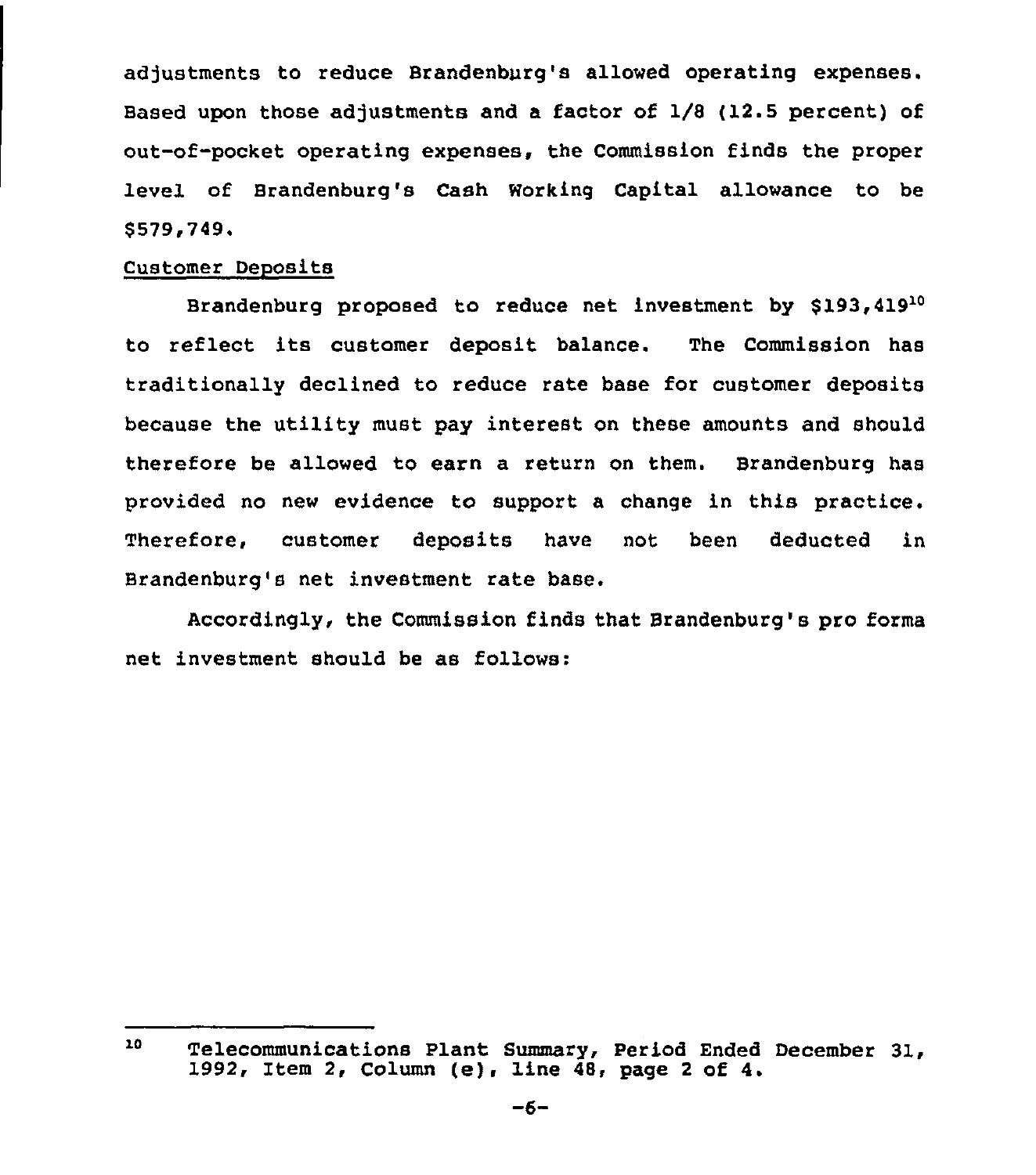adjustments to reduce Brandenburg's allowed operating expenses. Based upon those adjustments and a factor of 1/8 (12.5 percent) of out-of-pocket operating expenses, the Commission finds the proper level of Brandenburg's Cash Working Capital allowance to be \$ 579,749.

# Customer Deposits

Brandenburg proposed to reduce net investment by \$193,419<sup>10</sup> to reflect its customer deposit balance. The Commission has traditionally declined to reduce rate base for customer deposits because the utility must pay interest on these amounts and should therefore be allowed to earn a return on them. Brandenburg has provided no new evidence to support a change in this practice. Therefore, customer deposits have not been deducted in Brandenburg's net investment rate base.

Accordingly, the Commission finds that Brandenburg's pro forms net investment should be as follows:

 $10<sub>1</sub>$ Telecommunications Plant Summary, Period Ended December 31, 1992, Item 2, Column (e), line 48, page <sup>2</sup> of 4.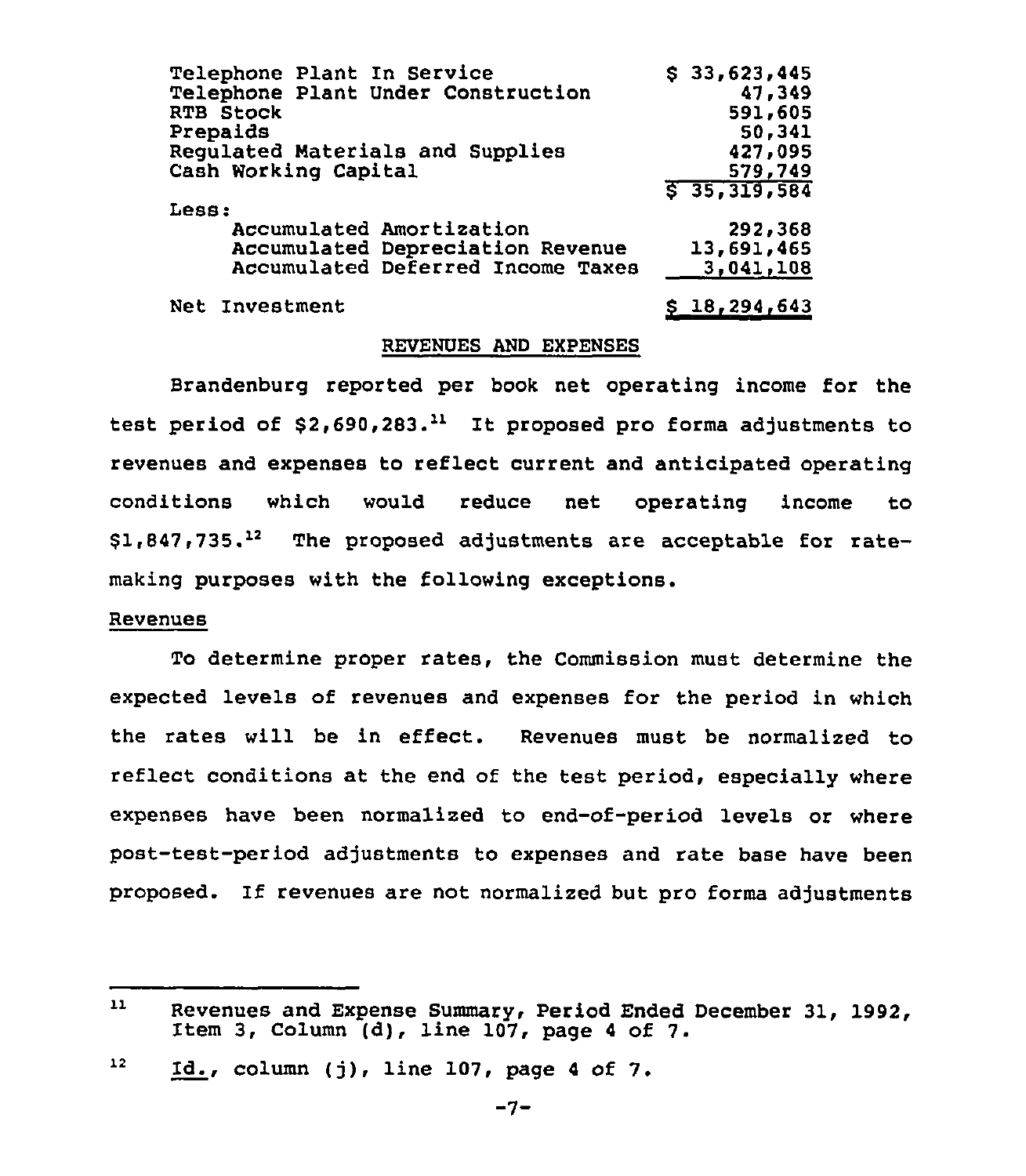| Telephone Plant In Service         | \$33,623,445   |
|------------------------------------|----------------|
| Telephone Plant Under Construction | 47,349         |
| <b>RTB Stock</b>                   | 591,605        |
| Prepaids                           | 50,341         |
| Regulated Materials and Supplies   | 427,095        |
| Cash Working Capital               | 579,749        |
|                                    | 5 35, 319, 584 |
| Less:                              |                |
| Accumulated Amortization           | 292,368        |
| Accumulated Depreciation Revenue   | 13,691,465     |
| Accumulated Deferred Income Taxes  | 3,041,108      |
| Net Investment                     | \$18, 294, 643 |

## REVENUES AND EXPENSES

Brandenburg reported per book net operating income for the test period of  $$2,690,283.<sup>11</sup>$  It proposed pro forma adjustments to revenues and expenses to reflect current and anticipated operating conditions which would reduce net operating income to conditions which would reduce net operating income to<br>\$1,847,735.<sup>12</sup> The proposed-adjustments are acceptable for ratemaking purposes with the following exceptions.

#### Revenues

To determine proper rates, the Commission must determine the expected levels of revenues and expenses for the period in which the rates will be in effect. Revenues must be normalized to reflect conditions at the end of the test period, especially where expenses have been normalized to end-of-period levels or where post-test-period adjustments to expenses and rate base have been proposed. If revenues are not normalized but pro forms adjustments

 $11$ Revenues and Expense Summary, Period Ended December 31, 1992, Item 3, Column (d), line 107, page <sup>4</sup> of 7.

<sup>12</sup> Id., column (j), line 107, page <sup>4</sup> of 7.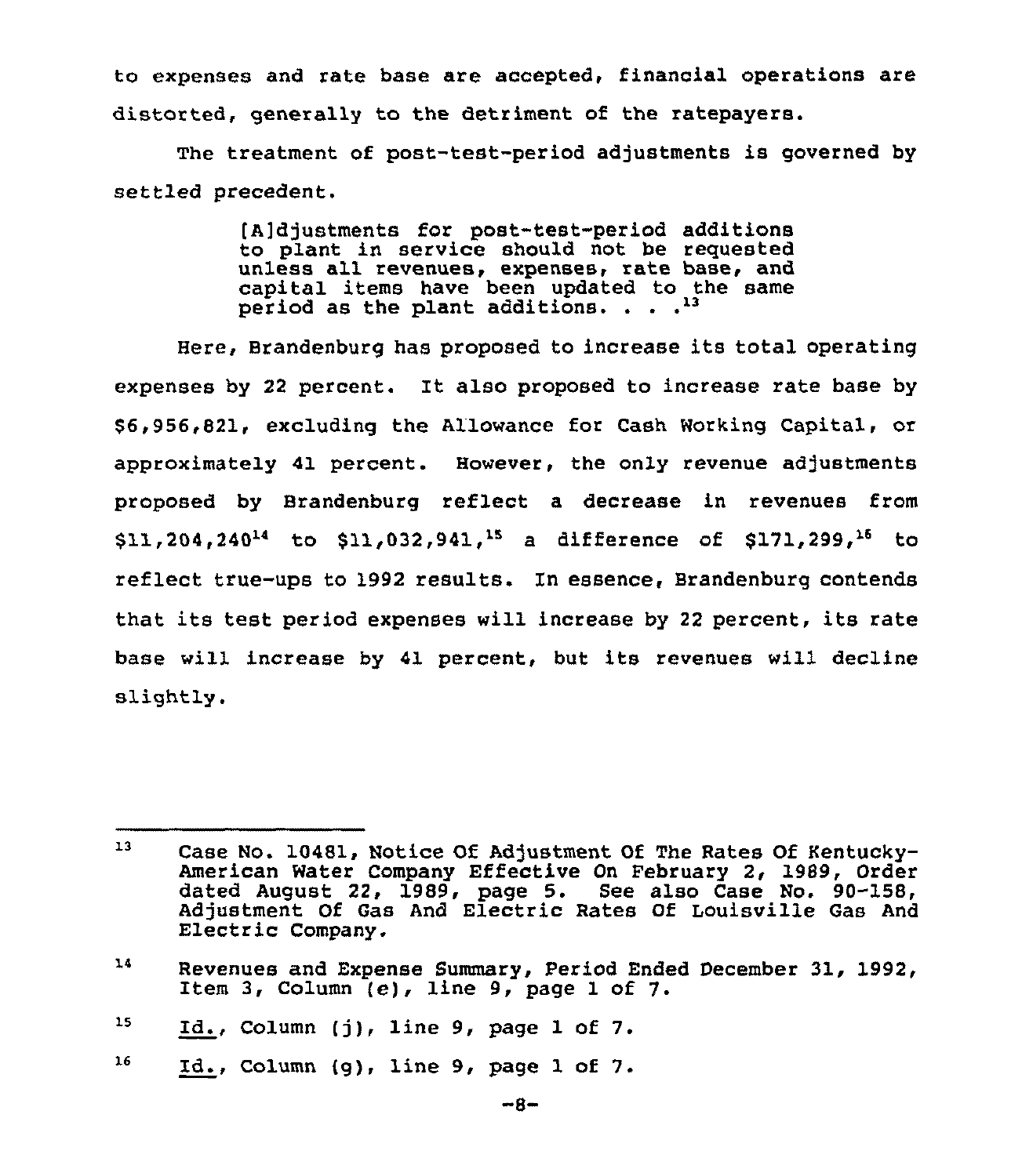to expenses and rate base are accepted, financial operations are distorted, generally to the detriment of the ratepayers.

The treatment of post-test-period adjustments is governed by settled precedent.

> [A]djustments for post-test-period additions to plant in service should not be requested unless all revenues, expenses, rate base, and capital items have been updated to the same period as the plant additions.  $\ldots$ .<sup>13</sup>

Here, Brandenburg has proposed to increase its total operating expenses by <sup>22</sup> percent. It also proposed to increase rate base by \$6,956,821, excluding the Allowance for Cash Working Capital, or approximately 41 percent. However, the only revenue adjustments proposed by Brandenburg reflect a decrease in revenues from  $$11,204,240^{14}$$  to  $$11,032,941,$ <sup>15</sup> a difference of  $$171,299,$ <sup>16</sup> to reflect true-ups to 1992 results. In essence, Brandenburg contends that its test period expenses will increase by <sup>22</sup> percent, its rate base will increase by 41 percent, but its revenues will decline slightly.

16 Id., Column (g), line 9, page 1 of 7.

<sup>13</sup> Case No. 10481, Notice Of Adjustment Of The Rates Of Kentucky-American Water Company Effective On February 2, 1989, Order dated August 22, 1989, page 5. See also Case No. 90-158, Adjustment Of Gas And Electric Rates Of Louisville Gas And Electric Company.

<sup>14</sup> Revenues and Expense Summary, Period Ended December 31, 1992, Item 3, Column  $(e)$ , line 9, page 1 of 7.

<sup>15</sup> Id., Column (j), line 9, page <sup>1</sup> of 7.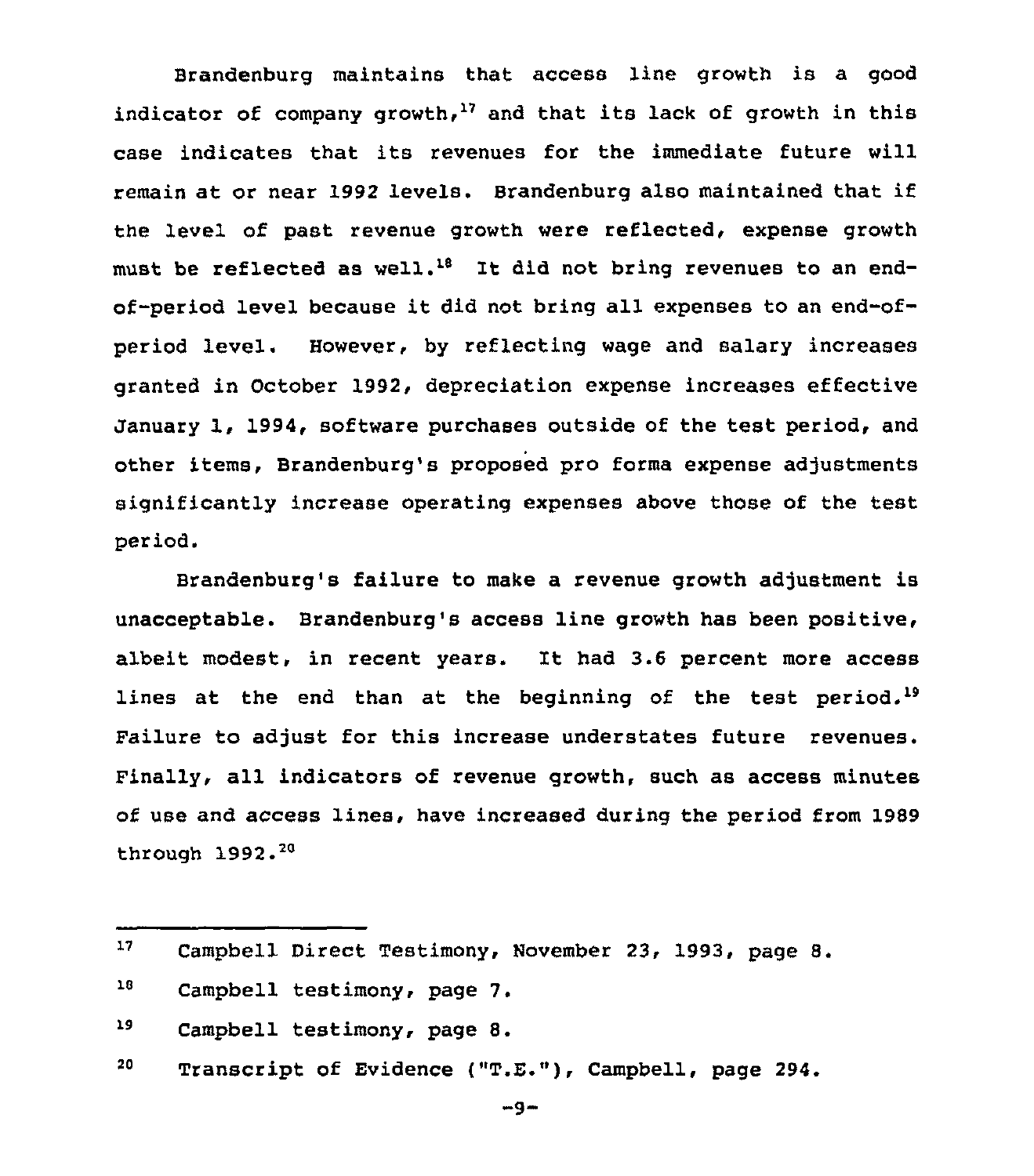Brandenburg maintains that access line growth is a good indicator of company growth,<sup>17</sup> and that its lack of growth in this case indicates that its revenues for the immediate future will remain at or near 1992 levels. Brandenburg also maintained that if the level of past revenue growth were reflected, expense growth must be reflected as well.<sup>18</sup> It did not bring revenues to an endof-period level because it did not bring all expenses to an end-ofperiod level. However, by reflecting wage and salary increases granted in October 1992, depreciation expense increases effective January 1, 1994, software purchases outside of the test period, and other items, Brandenburg's proposed pro forms expense adjustments significantly increase operating expenses above those of the test period.

Brandenburg's failure to make a revenue growth adjustment is unacceptable. Brandenburg's access line growth has been positive, albeit modest, in recent years. It had 3.6 percent more access lines at the end than at the beginning of the test period.<sup>19</sup> Failure to adjust for this increase understates future revenues. Finally, all indicators of revenue growth, such as access minutes of use and access lines, have increased during the period from 1989 through 1992.

19 Campbell testimony, page 8.

20 Transcript of Evidence ("T.E."), Campbell, page 294.

 $-9-$ 

 $17<sup>7</sup>$ Campbell Direct Testimony, November 23, 1993, page 8.

<sup>18</sup> Campbell testimony, page 7.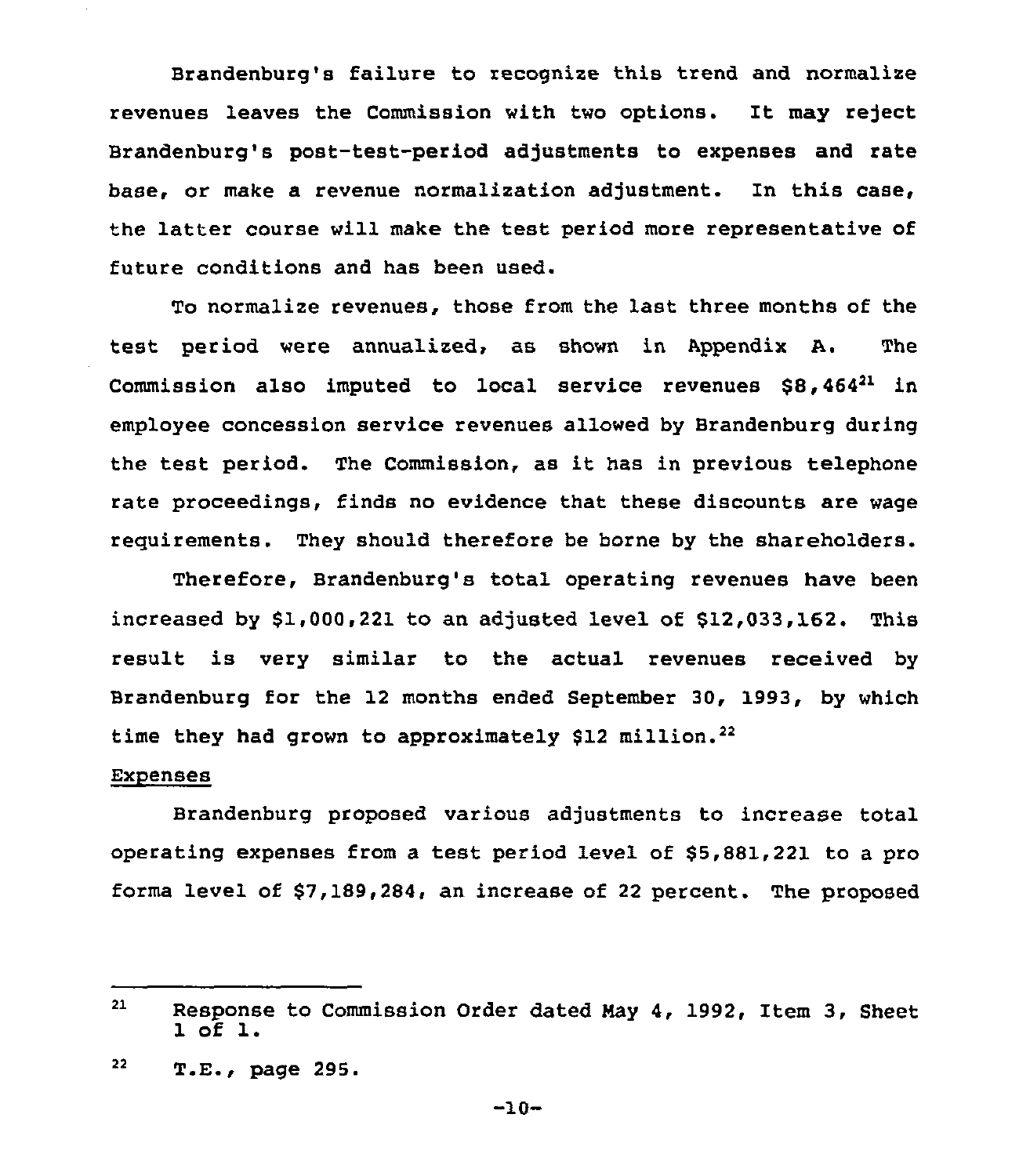Brandenburg's failure to recognize this trend and normalize revenues leaves the Commission with two options. It may reject Brandenburg's post-test-period adjustments to expenses and rate base, or make a revenue normalization adjustment. In this case, the latter course will make the test period more representative of future conditions and has been used.

To normalize revenues, those from the last three months of the test period were annualized, as shown in Appendix A. The Commission also imputed to local service revenues  $$8,464<sup>21</sup>$  in employee concession service revenues allowed by Brandenburg during the test period. The Commission, as it has in previous telephone rate proceedings, finds no evidence that these discounts are wage requirements. They should therefore be horne by the shareholders.

Therefore, Brandenburg's total operating revenues have been increased by \$1,000,221 to an adjusted level of \$12,033,162. This result is very similar to the actual revenues received by Brandenburg for the 12 months ended September 30, 1993, by which time they had grown to approximately \$12 million.<sup>22</sup>

#### **Expenses**

Brandenburg proposed various adjustments to increase total operating expenses from a test period level of \$5,881,221 to a pro forma level of \$7,189,284, an increase of 22 percent. The proposed

 $21$ Response to Commission Order dated May 4, 1992, Item 3, Sheet 1 of 1.

 $22$ T.E., page 295.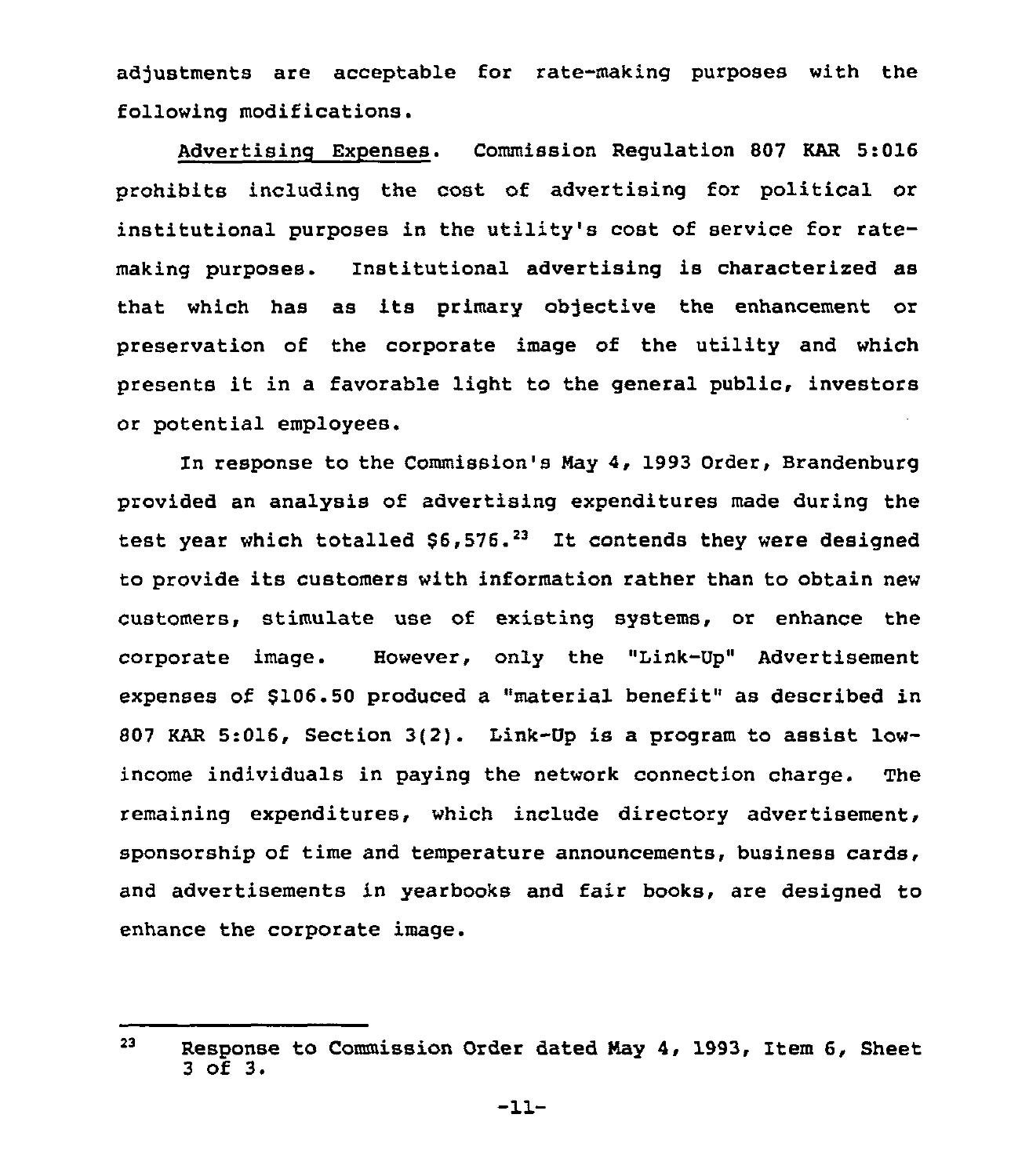adjustments are acceptable for rate-making purposes with the following modifications.

Advertising Expenses. Commission Regulation 807 KAR 5:016 prohibits including the cost of advertising for political or institutional purposes in the utility's cost of service for ratemaking purposes. Institutional advertising is characterised as that which has as its primary objective the enhancement or preservation of the corporate image of the utility and which presents it in <sup>a</sup> favorable light to the general public, investors or potential employees.

In response to the Commission's Nay 4, 1993 Order, Brandenburg provided an analysis of advertising expenditures made during the provided an analysis or advertising expenditures made during the provided an analysis or advertising expenditures made during the content of  $\sim$ to provide its customers with information rather than to obtain new customers, stimulate use of existing systems, or enhance the corporate image. However, only the "Link-Up" Advertisement expenses of \$106.50 produced a "material benefit" as described in <sup>807</sup> KAR 5:016, Section 3(2}. Link-Up is a program to assist lowincome individuals in paying the network connection charge. The remaining expenditures, which include directory advertisement, sponsorship of time and temperature announcements, business cards, and advertisements in yearbooks and fair books, are designed to enhance the corporate image.

<sup>23</sup> Response to Commission Order dated May 4, 1993, Item 6, Sheet <sup>3</sup> of 3.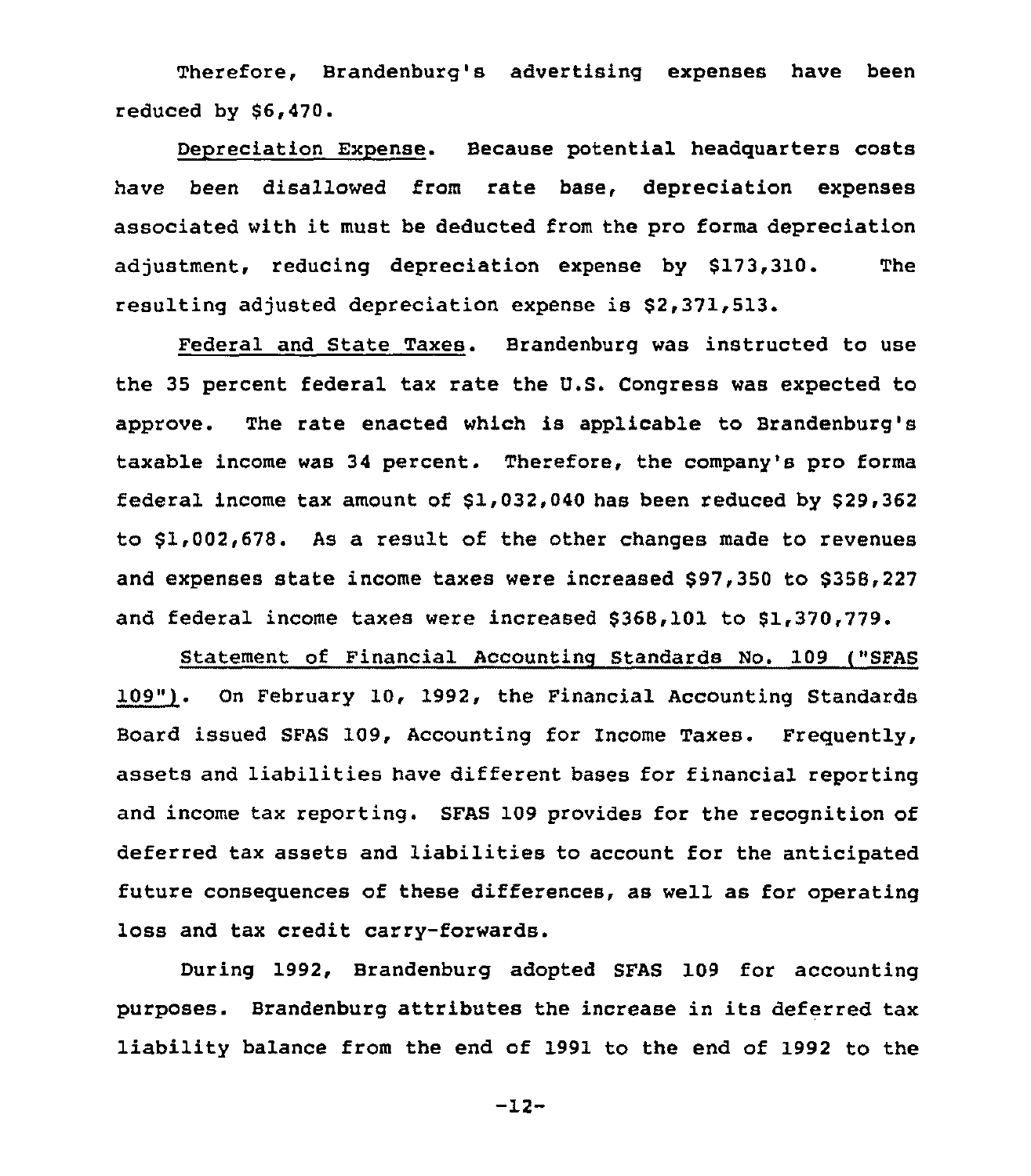Therefore, Brandenburg's advertising expenses have been reduced by  $$6,470.$ 

Depreciation Expense. Because potential headquarters costs have been disallowed from rate base, depreciation expenses associated with it must be deducted from the pro forma depreciation adjustment, reducing depreciation expense by \$173,310. The resulting adjusted depreciation expense is \$2,371,513.

Federal and State Taxes. Brandenburg was instructed to use the 35 percent federal tax rate the U.S. Congress was expected to approve. The rate enacted which is applicable to Brandenburg's taxable income was 34 percent. Therefore, the company's pro forma federal income tax amount of  $$1,032,040$  has been reduced by  $$29,362$ to 81,002,678. As a result of the other changes made to revenues and expenses state income taxes were increased \$97,350 to \$358,227 and federal income taxes were increased \$368,101 to \$1,370,779.

Statement of Financial Accounting Standards No. 109 ("SFAS 109"). Dn February 10, 1992, the Financial Accounting Standards Board issued SFAS 109, Accounting for Income Taxes. Frequently, assets and liabilities have different bases for financial reporting and income tax reporting. SFAS 109 provides for the recognition of deferred tax assets and liabilities to account for the anticipated future consequences of these differences, as well as for operating loss and tax credit carry-forwards.

During 1992, Brandenburg adopted SFAS 109 for accounting purposes. Brandenburg attributes the increase in its deferred tax liability balance from the end of 1991 to the end of 1992 to the

-12-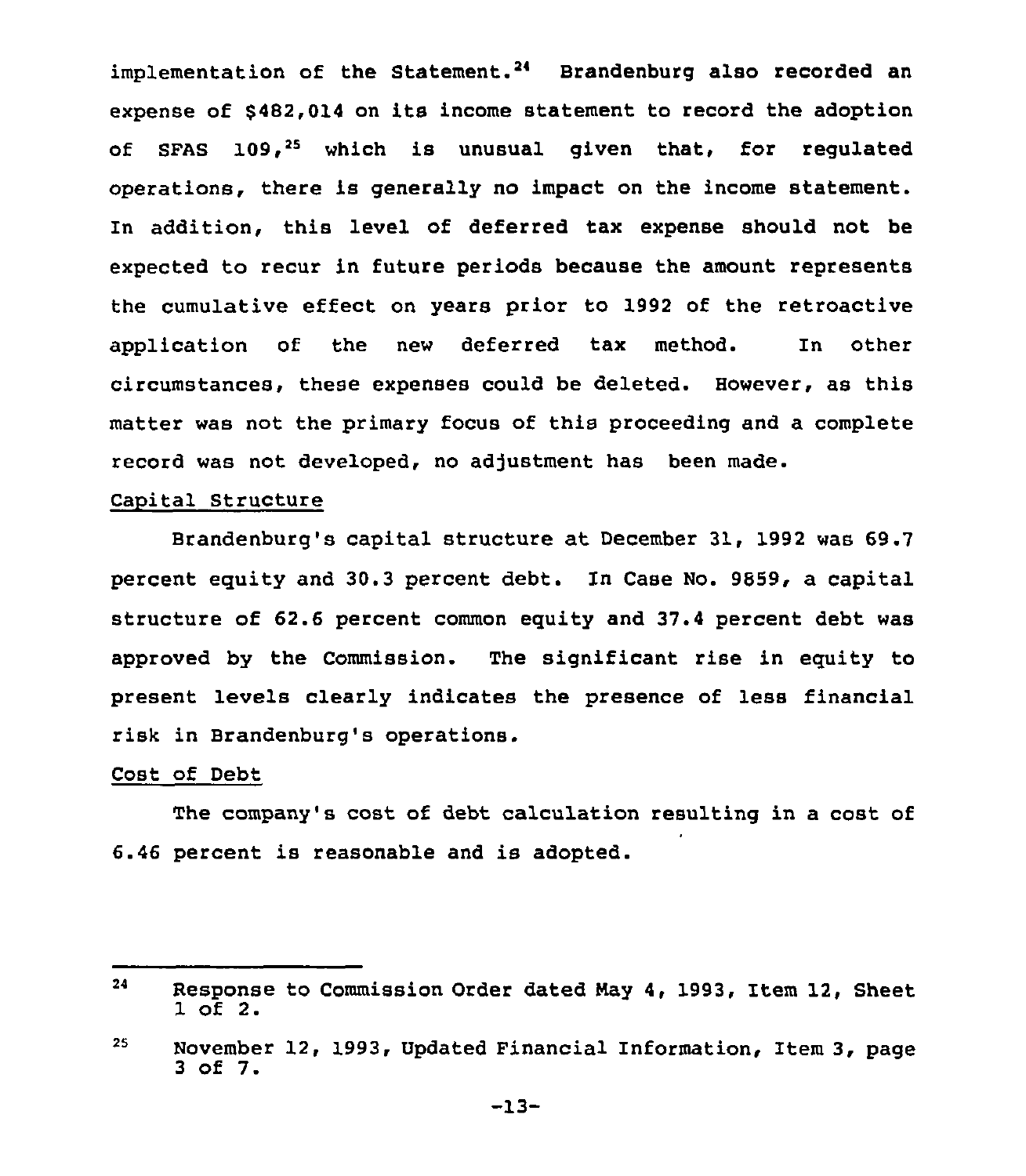implementation of the Statement.<sup>24</sup> Brandenburg also recorded an expense of \$482,014 on its income statement to record the adoption of SFAS  $109.25$  which is unusual given that, for requlated operations, there is generally no impact on the income statement. In addition, this level of deferred tax expense should not be expected to recur in future periods because the amount represents the cumulative effect on years prior to 1992 of the retroactive application of the new deferred tax method. In other circumstances, these expenses could be deleted. However, as this matter was not the primary focus of this proceeding and a complete record was not developed, no adjustment has been made.

## Capital Structure

Brandenburg's capital structure at December 31, 1992 was 69.7 percent equity and 30.3 percent debt. In Case No. 9859, a capital structure of 62.6 percent common equity and 37.4 percent debt was approved by the Commission. The significant rise in equity to present levels clearly indicates the presence of less financial risk in Brandenburg's operations.

## Cost of Debt

The company's cost of debt calculation resulting in a cost of 6.46 percent is reasonable and is adopted.

<sup>24</sup> Response to Commission Order dated Nay 4, 1993, Item 12, Sheet 1 of 2.

<sup>25</sup> November 12, 1993, Updated Financial Information, Item 3, page <sup>3</sup> of 7.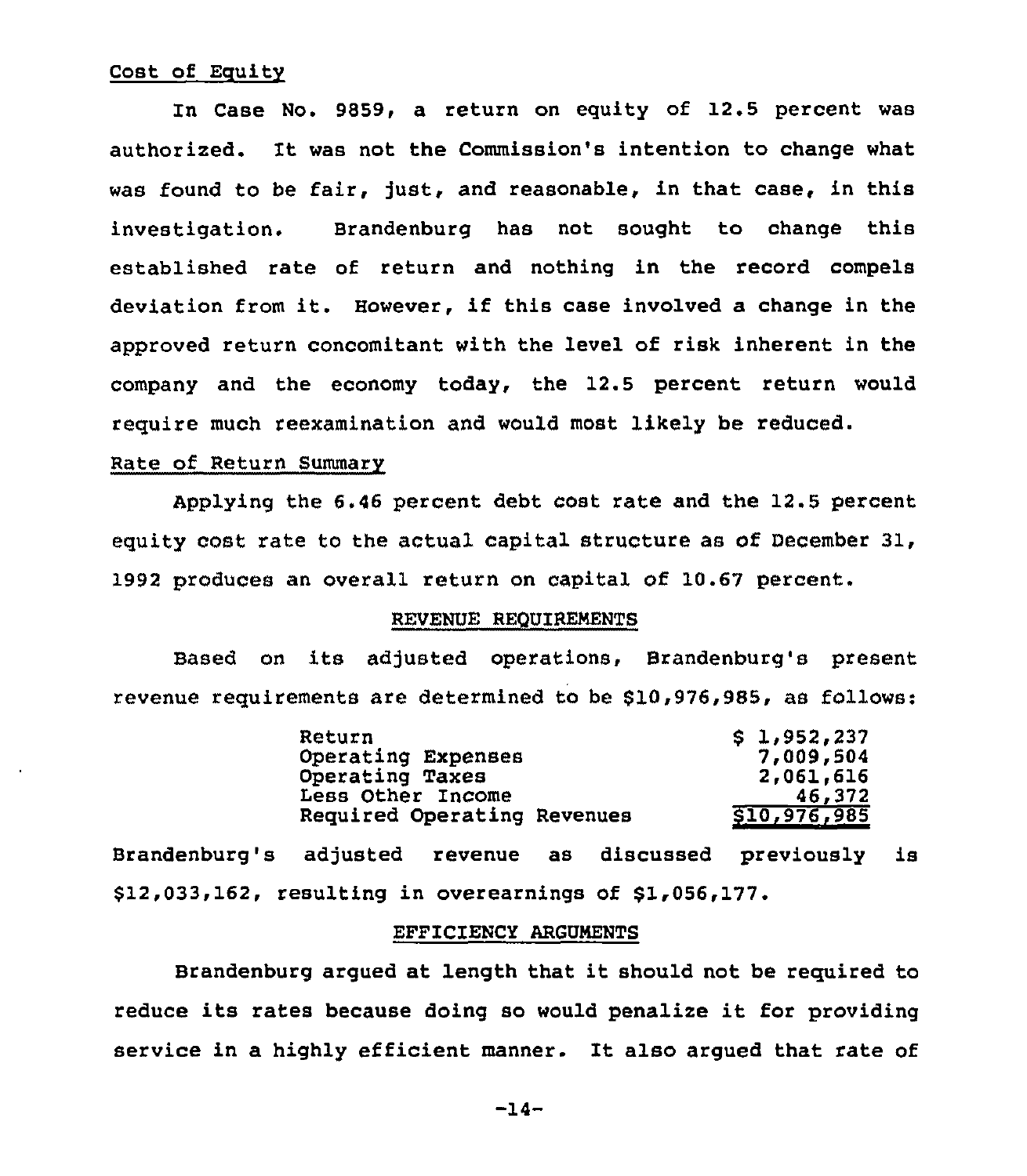# Cost of Equity

In Case No. 9859, a return on equity of 12.5 percent was authorized. It was not the Commission's intention to change what was found to be fair, just, and reasonable, in that case, in this investigation. Brandenburg has not sought to change this established rate of return and nothing in the record compels deviation from it. However, if this case involved <sup>a</sup> change in the approved return concomitant with the level of risk inherent in the company and the economy today, the 12.5 percent return would require much reexamination and would most likely be reduced.

## Rate of Return Summary

Applying the 6.46 percent debt cost rate and the 12.5 percent equity cost rate to the actual capital structure as of December 31, 1992 produces an overall return on capital of 10.67 percent.

# REVENUE REQUIREMENTS

Based on its adjusted operations, Brandenburg's present revenue requirements are determined to be \$10,976,985, as follows:

| \$1,952,237  |
|--------------|
| 7,009,504    |
| 2,061,616    |
| 46,372       |
| \$10,976,985 |
|              |

Brandenburg's adjusted revenue as discussed previously is \$12,033,162, resulting in overearnings of \$1,056,177.

# EFFICIENCY ARGUMENTS

Brandenburg argued at length that it should not be required to reduce its rates because doing so would penalize it for providing service in a highly efficient manner. It also argued that rate of

-14-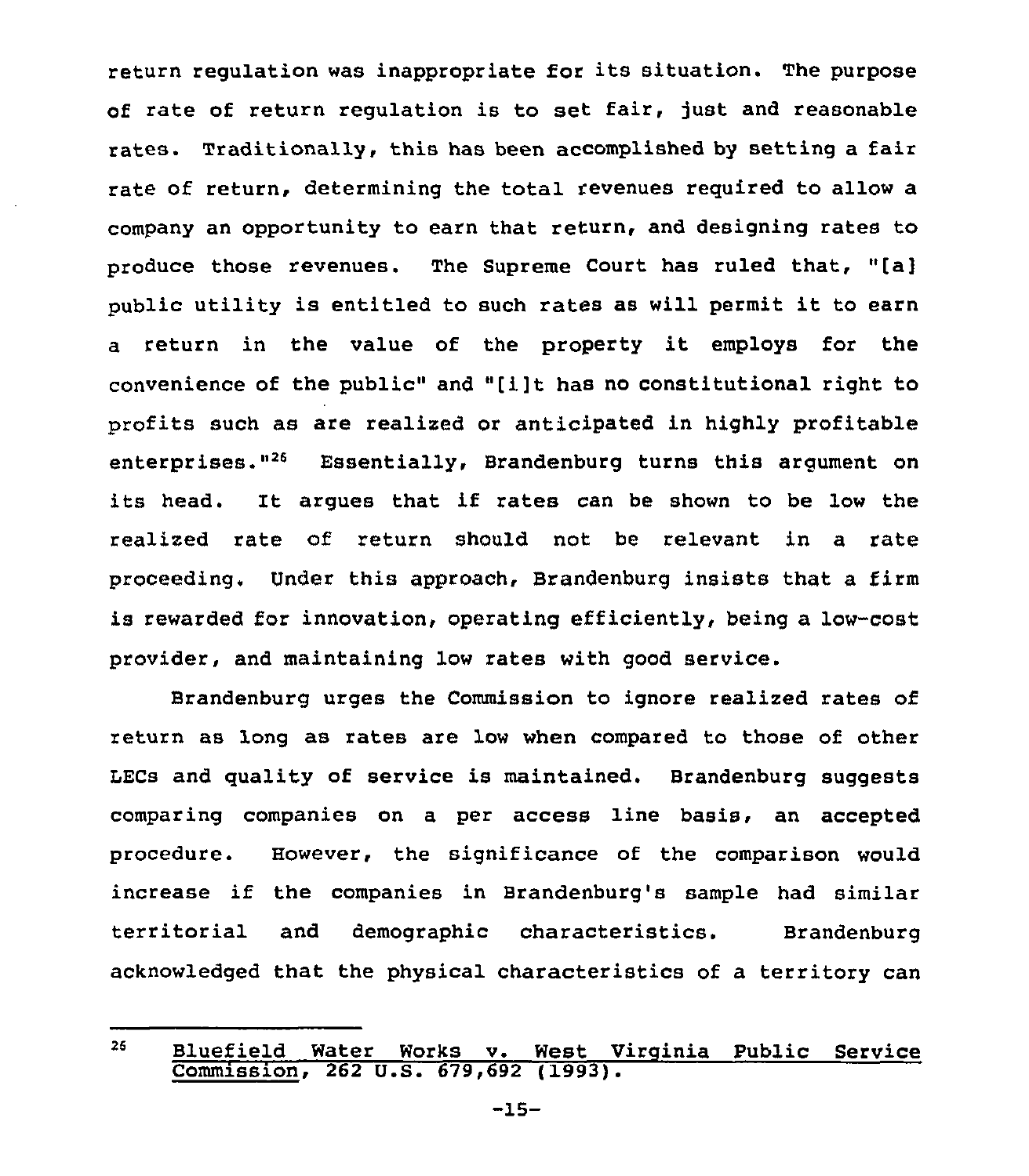return regulation was inappropriate for its situation. The purpose of rate of return regulation is to set fair, just and reasonable rates. Traditionally, this has been accomplished by setting a fair rate of return, determining the total revenues required to allow a company an opportunity to earn that return, and designing rates to produce those revenues. The Supreme Court has ruled that, "[a] public utility is entitled to such rates as will permit it to earn <sup>a</sup> return in the value of the property it employs for the convenience of the public" and "[i]t has no constitutional right to profits such as are realized or anticipated in highly profitable enterprises."<sup>26</sup> Essentially, Brandenburg turns this argument on its head. It argues that if rates can be shown to be low the realized rate of return should not be relevant in a rate proceeding. Under this approach, Brandenburg insists that a firm is rewarded for innovation, operating efficiently, being a low-cost provider, and maintaining low rates with good service.

Brandenburg urges the Commission to ignore realized rates of return as long as rates are low when compared to those of other LECs and quality of service is maintained. Brandenburg suggests comparing companies on a per access line basis, an accepted procedure. However, the significance of the comparison would increase if the companies in Brandenburg's sample had similar territorial and demographic characteristics. Brandenburg acknowledged that the physical characteristics of a territory can

<sup>26</sup> Bluefield Water Works v. West Virginia Public Service Commission, 262 U.S. 679,692 (1993).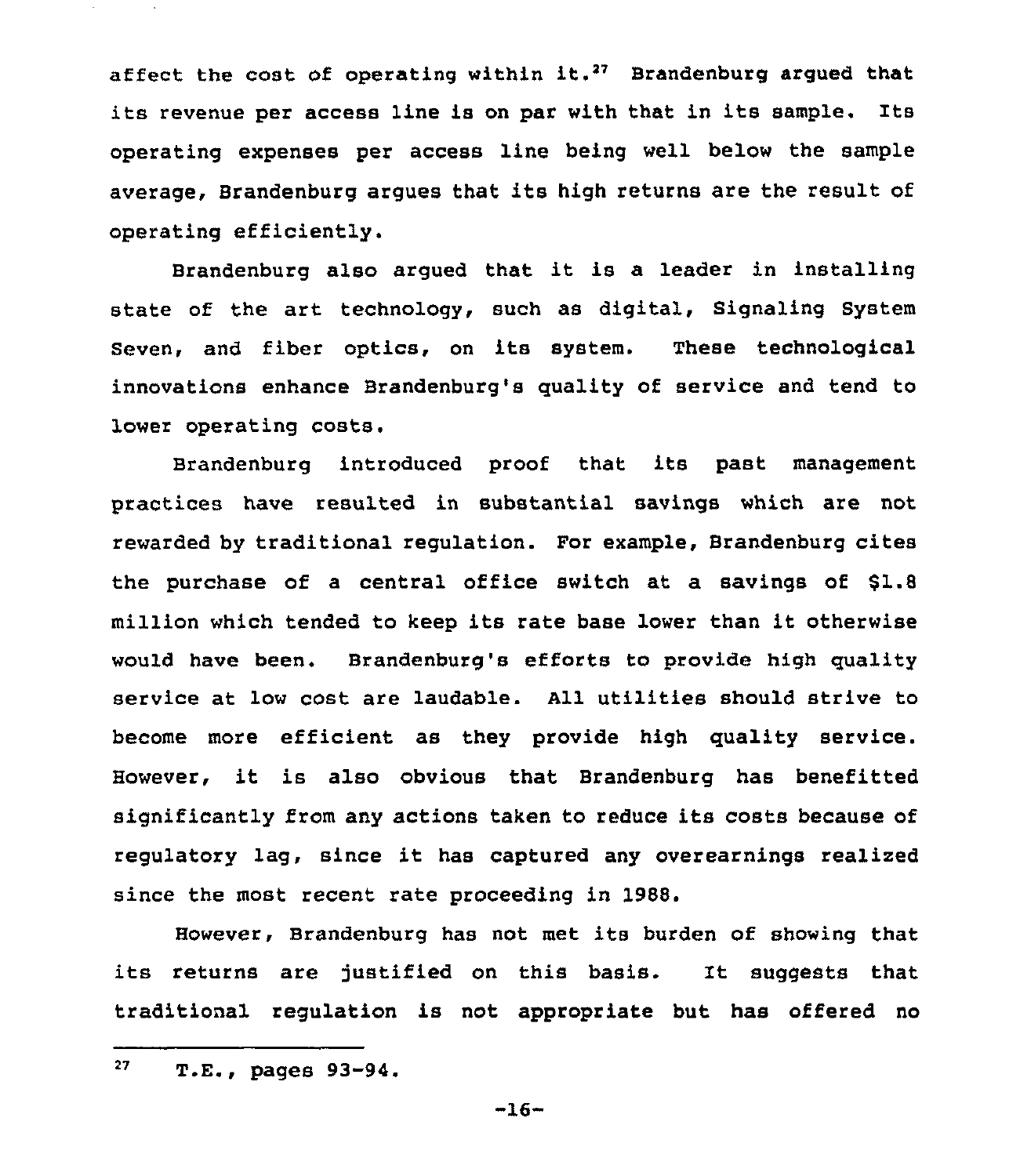affect the cost of operating within it.<sup>27</sup> Brandenburg argued that its revenue per access line is on par with that in its sample. Its operating expenses per access line being well below the sample average, Brandenburg argues that its high returns are the result of operating efficiently.

Brandenburg also argued that it is a leader in installing state of the art technology, such as digital, Signaling System Seven, and fiber optics, on its system. These technological innovations enhance Brandenburg's quality of service and tend to lower operating costs.

Brandenburg introduced proof that its past management practices have resulted in substantial savings which are not rewarded by traditional regulation. For example, Brandenburg cites the purchase of a central office switch at a savings of \$1.8 million which tended to keep its rate base lower than it otherwise would have been. Brandenburg's efforts to provide high quality service at low cost are laudable. All utilities should strive to become more efficient as they provide high quality service. However, it is also obvious that Brandenburg has benefitted significantly from any actions taken to reduce its costs because of regulatory lag, since it has captured any overearnings realized since the most recent rate proceeding in 1988.

However, Brandenburg has not met its burden of showing that its returns are justified on this basis. It suggests that traditional regulation is not appropriate but has offered no

 $-16-$ 

<sup>27</sup> T.E., pages 93-94.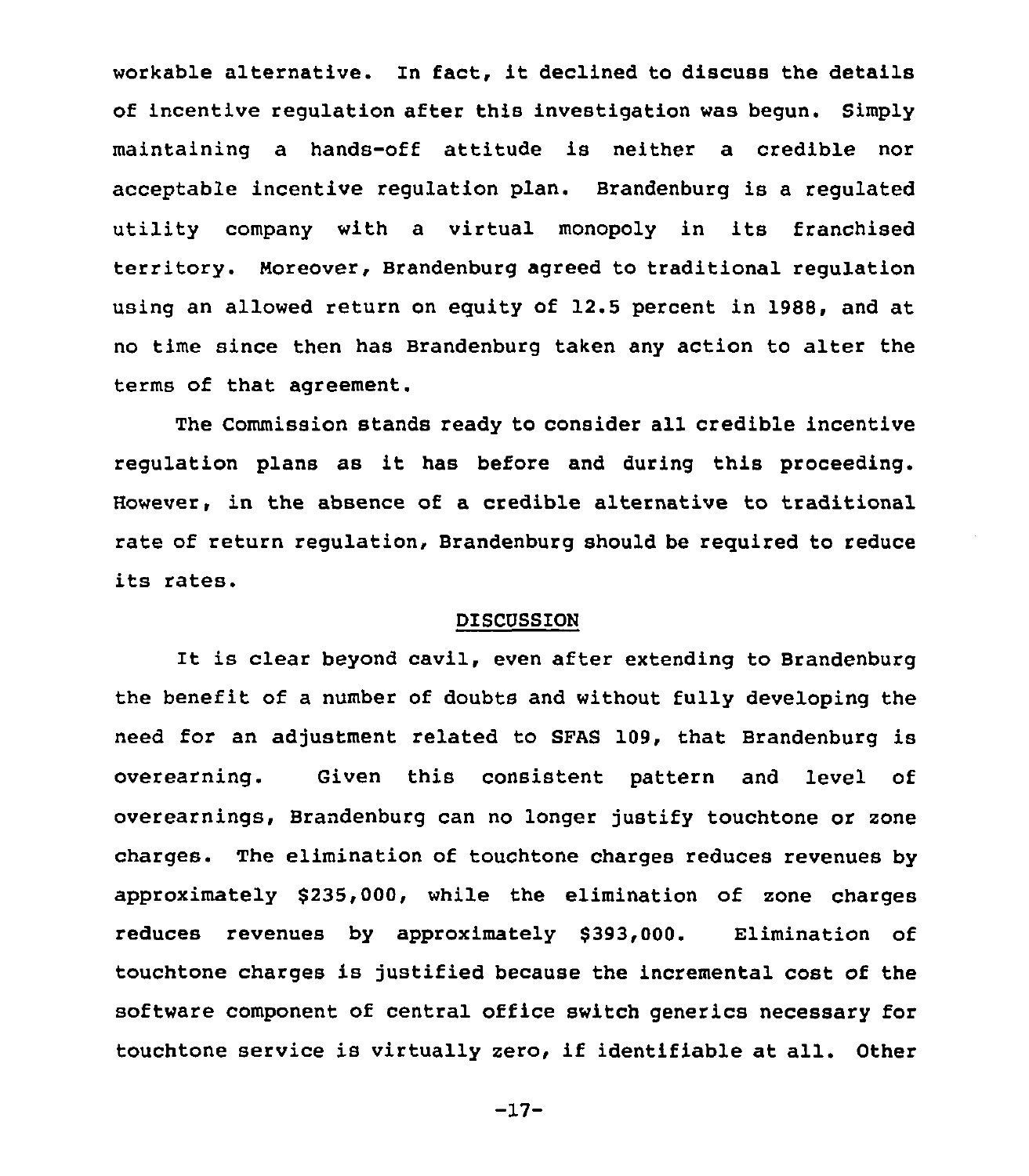workable alternative. In fact, it declined to discuss the details of incentive regulation after this investigation was begun. Simply maintaining a hands-off attitude is neither a credible nor acceptable incentive regulation plan. Brandenburg is a regulated utility company with a virtual monopoly in its franchised territory. Moreover, Brandenburg agreed to traditional regulation using an allowed return on equity of 12.5 percent in 1988, and at no time since then has Brandenburg taken any action to alter the terms of that agreement.

The Commission stands ready to consider all credible incentive regulation plans as it has before and during this proceeding. However, in the absence of a credible alternative to traditional rate of return regulation, Brandenburg should be required to reduce its rates.

## DISCUSSION

It is clear beyond cavil, even after extending to Brandenburg the benefit of a number of doubts and without fully developing the need for an adjustment related to SFAS 109, that Brandenburg is overearning. Given this consistent pattern and level of overearnings, Brandenburg can no longer justify touchtone or zone charges. The elimination of touchtone charges reduces revenues by approximately \$235,000, while the elimination of zone charges reduces revenues by approximately \$393,000. Elimination of touchtone charges is justified because the incremental cost of the software component of central office switch generics necessary for touchtone service is virtually zero, if identifiable at all. Other

-17-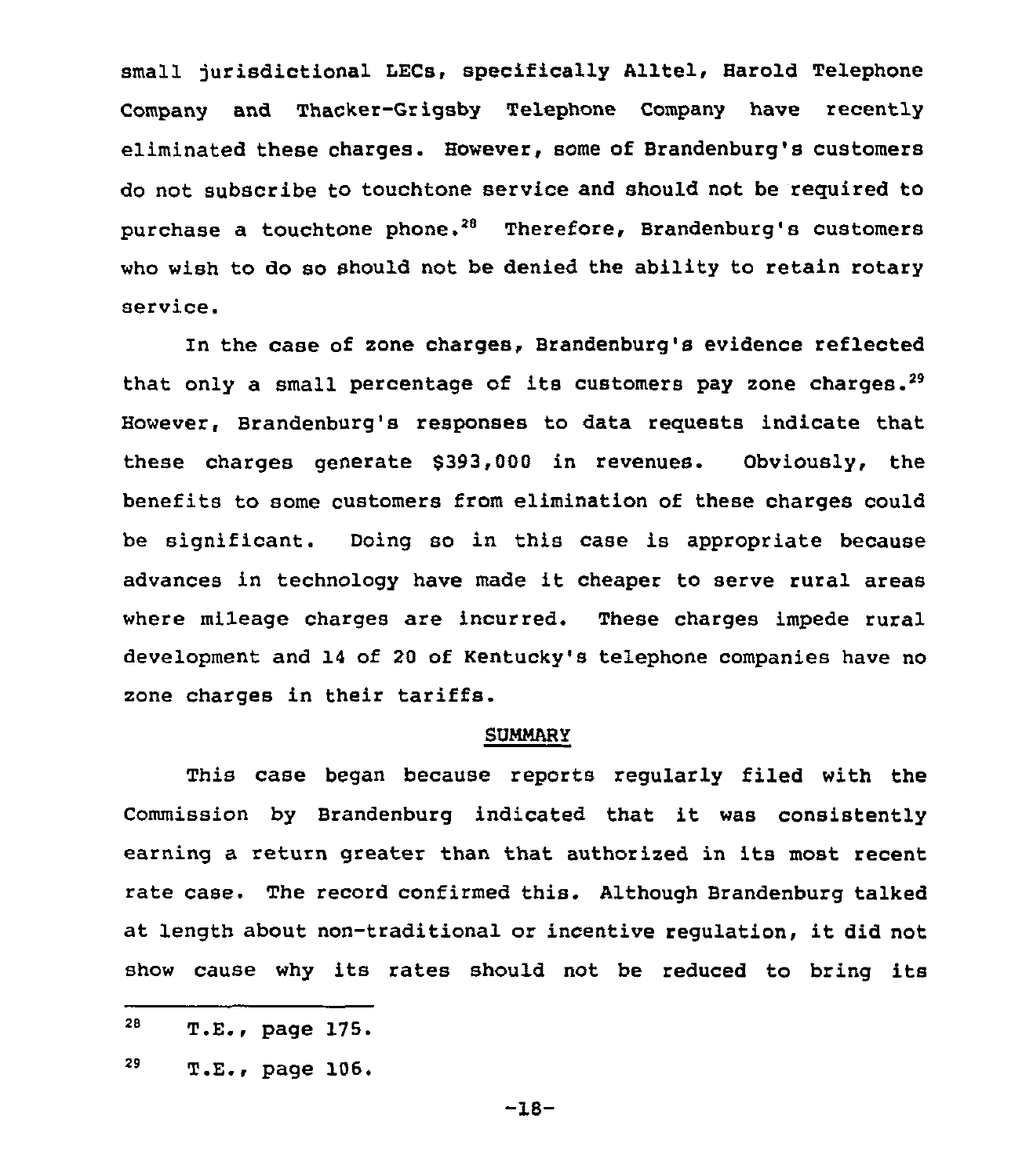small jurisdictional LECs, specifically Alltel, Harold Telephone Company and Thacker-Grigsby Telephone Company have recently eliminated these charges. However, some of Brandenburg's customers do not subscribe to touchtone service and should not be required to purchase a touchtone phone.<sup>28</sup> Therefore, Brandenburg's customers who wish to do so should not be denied the ability to retain rotary service.

In the case of zone charges, Brandenburg's evidence reflected that only a small percentage of its customers pay zone charges.<sup>29</sup> However, Brandenburg's responses to data requests indicate that these charges generate \$393,000 in revenues. Obviously, the benefits to some customers from elimination of these charges could be significant. Doing so in this case is appropriate because advances in technology have made it cheaper to serve rural areas where mileage charges are incurred. These charges impede rural development and 14 of 20 of Kentucky's telephone companies have no zone charges in their tariffs.

#### **SUMMARY**

This case began because reports regularly filed with the Commission by Brandenburg indicated that it was consistently earning a return greater than that authorized in its most recent rate case. The record confirmed this. Although Brandenburg talked at length about non-traditional or incentive regulation, it did not show cause why its rates should not be reduced to bring its

—18-

<sup>28</sup> T.E., page

<sup>29</sup> page 106.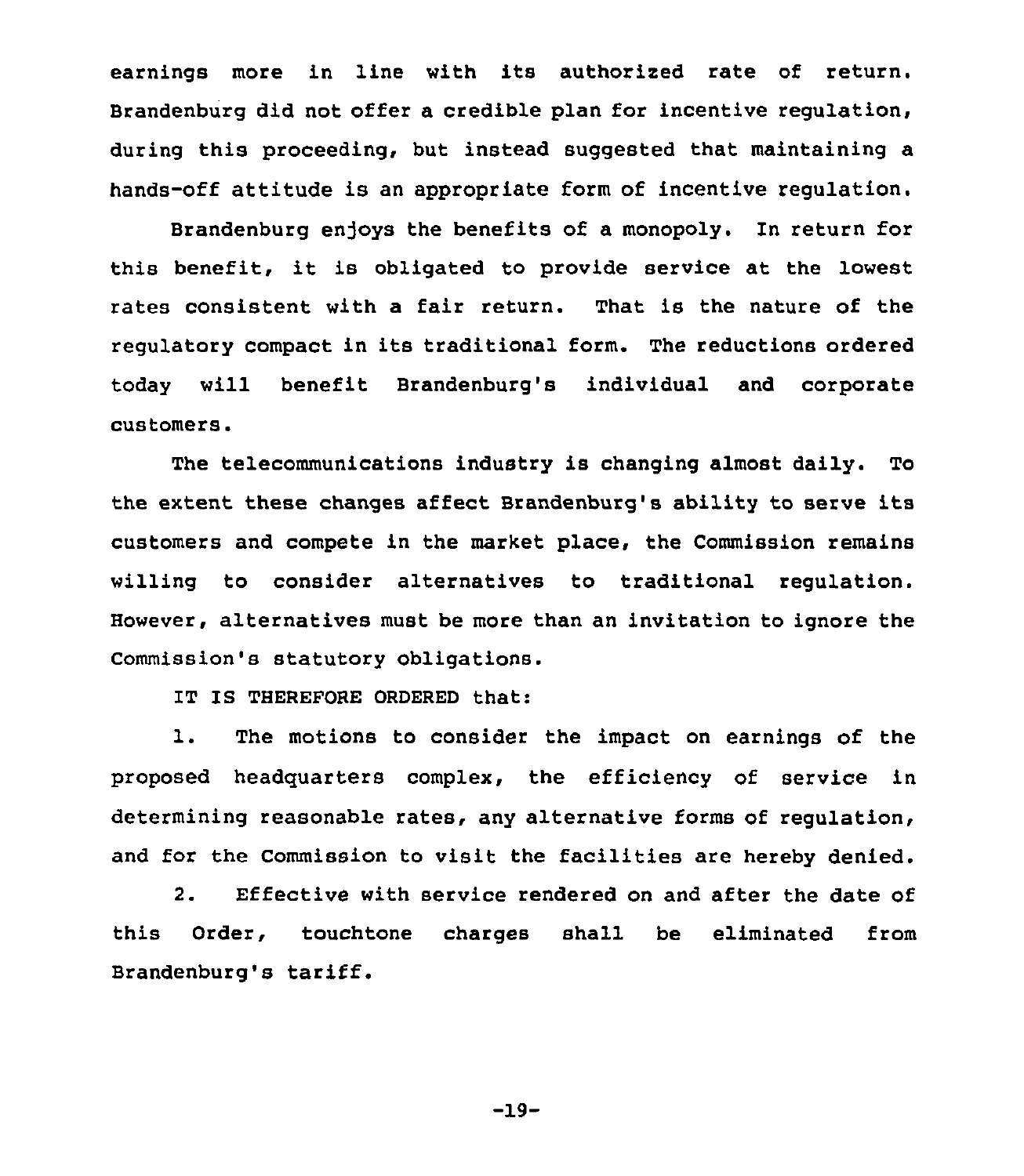earnings more in line with its authorised rate of return. Brandenburg did not offer a credible plan for incentive regulation, during this proceeding, but instead suggested that maintaining a hands-off attitude is an appropriate form of incentive regulation.

Brandenburg enjoys the benefits of a monopoly. In return for this benefit, it is obligated to provide service at the lowest rates consistent with a fair return. That is the nature of the regulatory compact in its traditional form. The reductions ordered today will benefit Brandenburg's individual and corporate customers.

The telecommunications industry is changing almost daily. To the extent these changes affect Brandenburg's ability to serve its customers and compete in the market place, the Commission remains willing to consider alternatives to traditional regulation. However, alternatives must be more than an invitation to ignore the Commission's statutory obligations.

IT IS THEREFORE ORDERED that:

1. The motions to consider the impact on earnings of the proposed headquarters complex, the efficiency of service in determining reasonable rates, any alternative forms of regulation, and for the Commission to visit the facilities are hereby denied.

2. Effective with service rendered on and after the date of this Order, touchtone charges shall be eliminated from Brandenburg's tariff.

-19-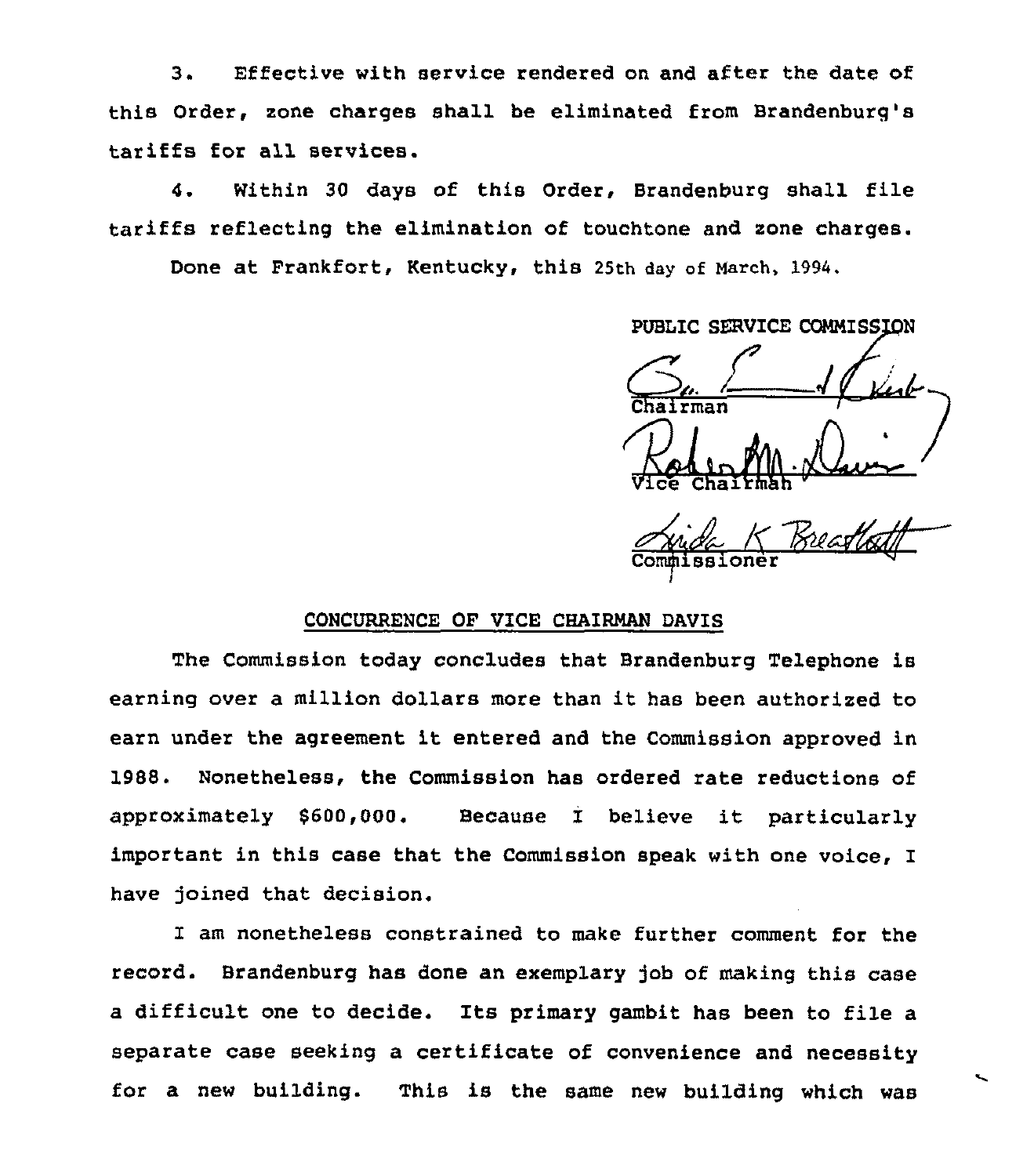3. Effective with service rendered on and after the date of this Order, zone charges shall be eliminated from Brandenburg's tariffs for all services.

4. Within <sup>30</sup> days of this Order, Brandenburg shall file tariffs reflecting the elimination of touchtone and zone charges.

Done at Frankfort, Kentucky, this 25th day of March, 1994.

PUBLIC SERVICE COMMISSION

/ Vice Chairman "

Commissione

## CONCURRENCE OF VICE CHAIRMAN DAVIS

The Commission today concludes that Brandenburg Telephone is earning over <sup>a</sup> million dollars more than it has been authorized to earn under the agreement it entered and the Commission approved in 1988. Nonetheless, the Commission has ordered rate reductions of approximately 8600,000. Because I believe it particularly important in this case that the Commission speak with one voice, I have joined that decision.

I am nonetheless constrained to make further comment for the record. Brandenburg has done an exemplary job of making this case <sup>a</sup> difficult one to decide. Its primary gambit has been to file <sup>a</sup> separate case seeking a certificate of convenience and necessity for a new building. This is the same new building which was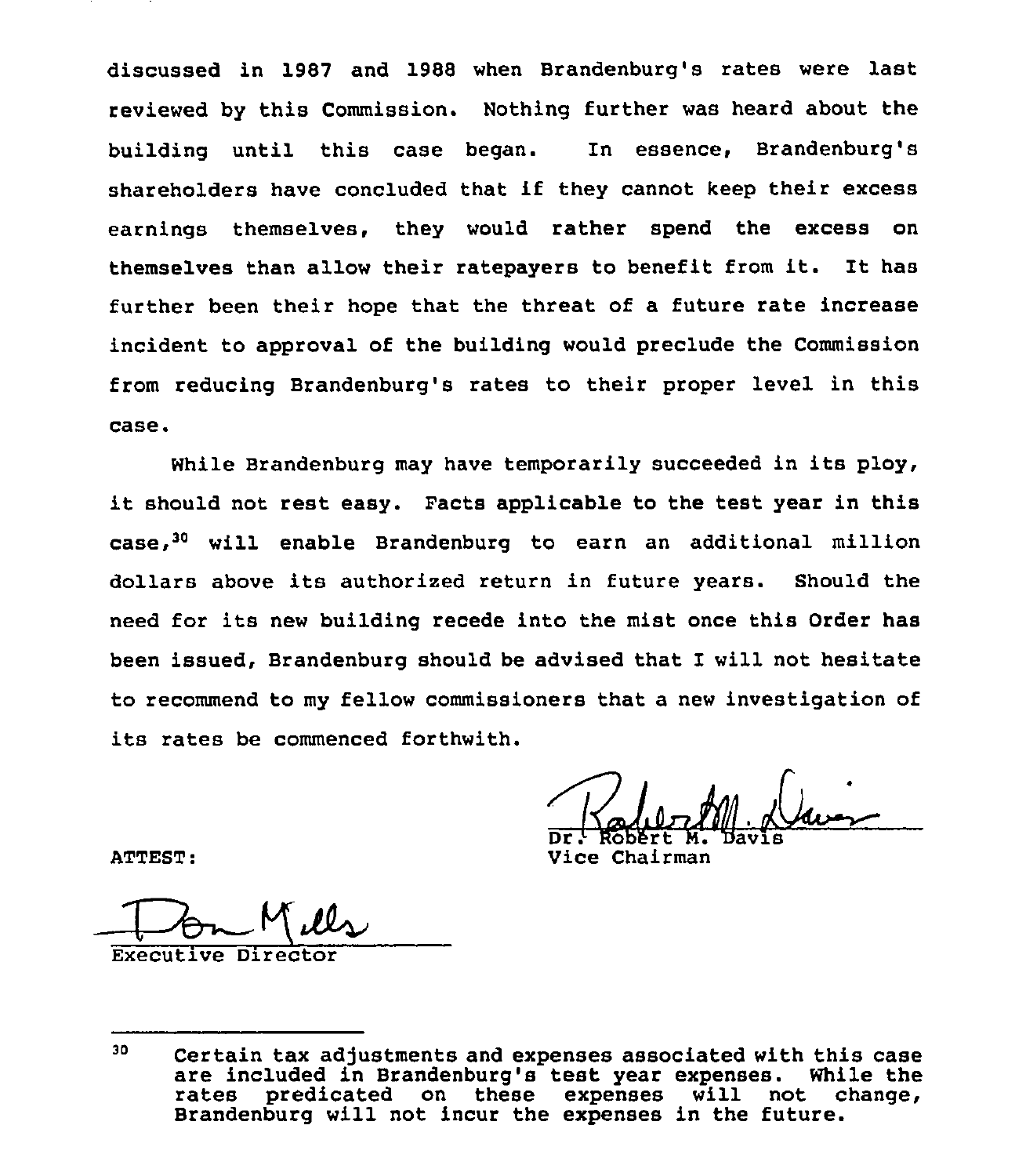discussed in 1987 and 1988 when Brandenburg's rates were last reviewed by this Commission. Nothing further was heard about the building until this case began. In essence, Brandenburg's shareholders have concluded that if they cannot keep their excess earnings themselves, they would rather spend the excess on themselves than allow their ratepayers to benefit from it. It has further been their hope that the threat of a future rate increase incident to approval of the building would preclude the Commission from reducing Brandenburg's rates to their proper level in this case.

While Brandenburg may have temporarily succeeded in its ploy, it should not rest easy. Facts applicable to the test year in this case,<sup>30</sup> will enable Brandenburg to earn an additional million dollars above its authorized return in future years. Should the need for its new building recede into the mist once this Order has been issued, Brandenburg should be advised that I will not hesitate to recommend to my fellow commissioners that a new investigation of its rates be commenced forthwith.

Dr. Robert M. Davis

ATTEST:

Vice Chairman

 $Executive$  Director

<sup>30</sup> Certain tax adjustments and expenses associated with this case are included in Brandenburg's test year expenses.<br>rates predicated on these expenses will not  $expenses$  will not change, Brandenburg will not incur the expenses in the future.